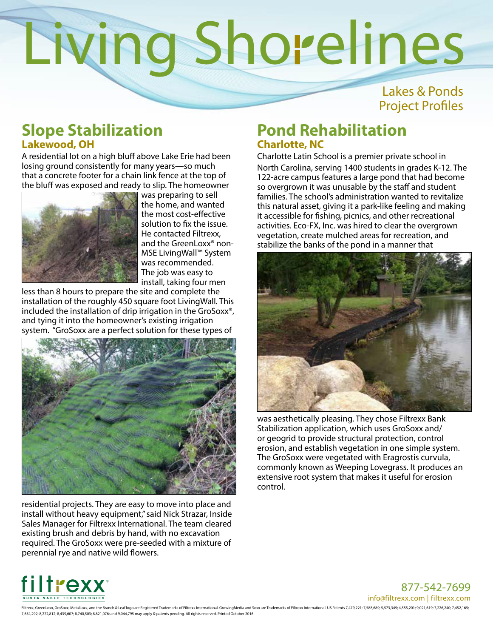Lakes & Ponds Project Profiles

## **Slope Stabilization Lakewood, OH**

A residential lot on a high bluff above Lake Erie had been losing ground consistently for many years—so much that a concrete footer for a chain link fence at the top of the bluff was exposed and ready to slip. The homeowner



was preparing to sell the home, and wanted the most cost-effective solution to fix the issue. He contacted Filtrexx, and the GreenLoxx® non-MSE LivingWall™ System was recommended. The job was easy to install, taking four men

less than 8 hours to prepare the site and complete the installation of the roughly 450 square foot LivingWall. This included the installation of drip irrigation in the GroSoxx®, and tying it into the homeowner's existing irrigation system. "GroSoxx are a perfect solution for these types of



residential projects. They are easy to move into place and install without heavy equipment," said Nick Strazar, Inside Sales Manager for Filtrexx International. The team cleared existing brush and debris by hand, with no excavation required. The GroSoxx were pre-seeded with a mixture of perennial rye and native wild flowers.

## **Pond Rehabilitation Charlotte, NC**

Charlotte Latin School is a premier private school in North Carolina, serving 1400 students in grades K-12. The 122-acre campus features a large pond that had become so overgrown it was unusable by the staff and student families. The school's administration wanted to revitalize this natural asset, giving it a park-like feeling and making it accessible for fishing, picnics, and other recreational activities. Eco-FX, Inc. was hired to clear the overgrown vegetation, create mulched areas for recreation, and stabilize the banks of the pond in a manner that



was aesthetically pleasing. They chose Filtrexx Bank Stabilization application, which uses GroSoxx and/ or geogrid to provide structural protection, control erosion, and establish vegetation in one simple system. The GroSoxx were vegetated with Eragrostis curvula, commonly known as Weeping Lovegrass. It produces an extensive root system that makes it useful for erosion control.



877-542-7699 info@filtrexx.com | filtrexx.com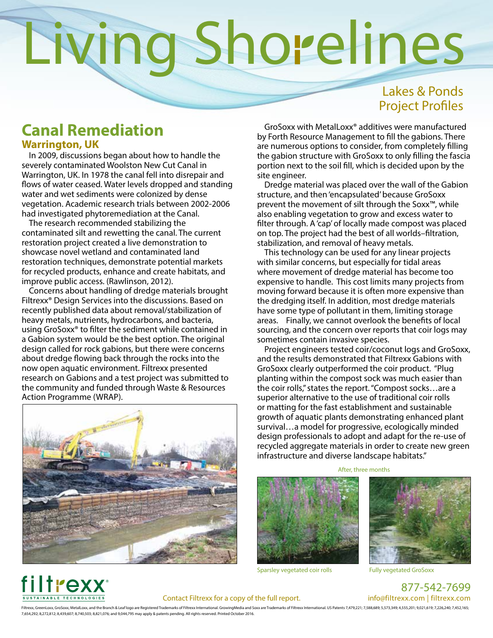## Lakes & Ponds Project Profiles

### **Canal Remediation Warrington, UK**

In 2009, discussions began about how to handle the severely contaminated Woolston New Cut Canal in Warrington, UK. In 1978 the canal fell into disrepair and flows of water ceased. Water levels dropped and standing water and wet sediments were colonized by dense vegetation. Academic research trials between 2002-2006 had investigated phytoremediation at the Canal.

The research recommended stabilizing the contaminated silt and rewetting the canal. The current restoration project created a live demonstration to showcase novel wetland and contaminated land restoration techniques, demonstrate potential markets for recycled products, enhance and create habitats, and improve public access. (Rawlinson, 2012).

Concerns about handling of dredge materials brought Filtrexx® Design Services into the discussions. Based on recently published data about removal/stabilization of heavy metals, nutrients, hydrocarbons, and bacteria, using GroSoxx® to filter the sediment while contained in a Gabion system would be the best option. The original design called for rock gabions, but there were concerns about dredge flowing back through the rocks into the now open aquatic environment. Filtrexx presented research on Gabions and a test project was submitted to the community and funded through Waste & Resources Action Programme (WRAP).



GroSoxx with MetalLoxx® additives were manufactured by Forth Resource Management to fill the gabions. There are numerous options to consider, from completely filling the gabion structure with GroSoxx to only filling the fascia portion next to the soil fill, which is decided upon by the site engineer.

Dredge material was placed over the wall of the Gabion structure, and then 'encapsulated' because GroSoxx prevent the movement of silt through the Soxx™, while also enabling vegetation to grow and excess water to filter through. A 'cap' of locally made compost was placed on top. The project had the best of all worlds–filtration, stabilization, and removal of heavy metals.

This technology can be used for any linear projects with similar concerns, but especially for tidal areas where movement of dredge material has become too expensive to handle. This cost limits many projects from moving forward because it is often more expensive than the dredging itself. In addition, most dredge materials have some type of pollutant in them, limiting storage areas. Finally, we cannot overlook the benefits of local sourcing, and the concern over reports that coir logs may sometimes contain invasive species.

Project engineers tested coir/coconut logs and GroSoxx, and the results demonstrated that Filtrexx Gabions with GroSoxx clearly outperformed the coir product. "Plug planting within the compost sock was much easier than the coir rolls," states the report. "Compost socks…are a superior alternative to the use of traditional coir rolls or matting for the fast establishment and sustainable growth of aquatic plants demonstrating enhanced plant survival…a model for progressive, ecologically minded design professionals to adopt and adapt for the re-use of recycled aggregate materials in order to create new green infrastructure and diverse landscape habitats."



Sparsley vegetated coir rolls Fully vegetated GroSoxx

After, three months





### Contact Filtrexx for a copy of the full report.

877-542-7699 info@filtrexx.com | filtrexx.com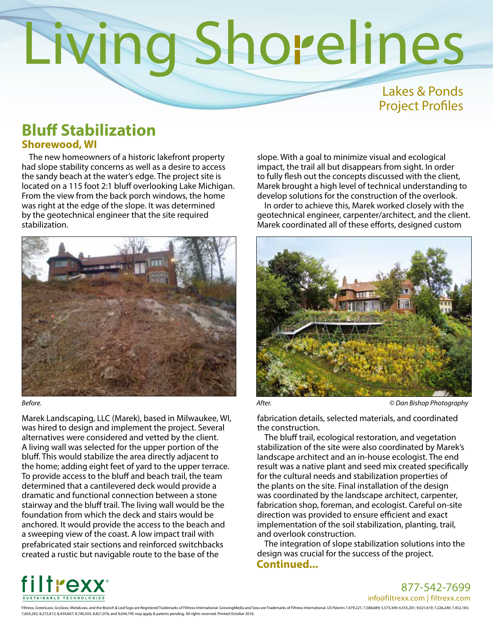## Lakes & Ponds Project Profiles

## **Bluff Stabilization Shorewood, WI**

The new homeowners of a historic lakefront property had slope stability concerns as well as a desire to access the sandy beach at the water's edge. The project site is located on a 115 foot 2:1 bluff overlooking Lake Michigan. From the view from the back porch windows, the home was right at the edge of the slope. It was determined by the geotechnical engineer that the site required stabilization.



Marek Landscaping, LLC (Marek), based in Milwaukee, WI, was hired to design and implement the project. Several alternatives were considered and vetted by the client. A living wall was selected for the upper portion of the bluff. This would stabilize the area directly adjacent to the home; adding eight feet of yard to the upper terrace. To provide access to the bluff and beach trail, the team determined that a cantilevered deck would provide a dramatic and functional connection between a stone stairway and the bluff trail. The living wall would be the foundation from which the deck and stairs would be anchored. It would provide the access to the beach and a sweeping view of the coast. A low impact trail with prefabricated stair sections and reinforced switchbacks created a rustic but navigable route to the base of the

slope. With a goal to minimize visual and ecological impact, the trail all but disappears from sight. In order to fully flesh out the concepts discussed with the client, Marek brought a high level of technical understanding to develop solutions for the construction of the overlook.

In order to achieve this, Marek worked closely with the geotechnical engineer, carpenter/architect, and the client. Marek coordinated all of these efforts, designed custom



*Before. After. © Dan Bishop Photography*

fabrication details, selected materials, and coordinated the construction.

The bluff trail, ecological restoration, and vegetation stabilization of the site were also coordinated by Marek's landscape architect and an in-house ecologist. The end result was a native plant and seed mix created specifically for the cultural needs and stabilization properties of the plants on the site. Final installation of the design was coordinated by the landscape architect, carpenter, fabrication shop, foreman, and ecologist. Careful on-site direction was provided to ensure efficient and exact implementation of the soil stabilization, planting, trail, and overlook construction.

The integration of slope stabilization solutions into the design was crucial for the success of the project. **Continued...** 



### 877-542-7699

info@filtrexx.com | filtrexx.com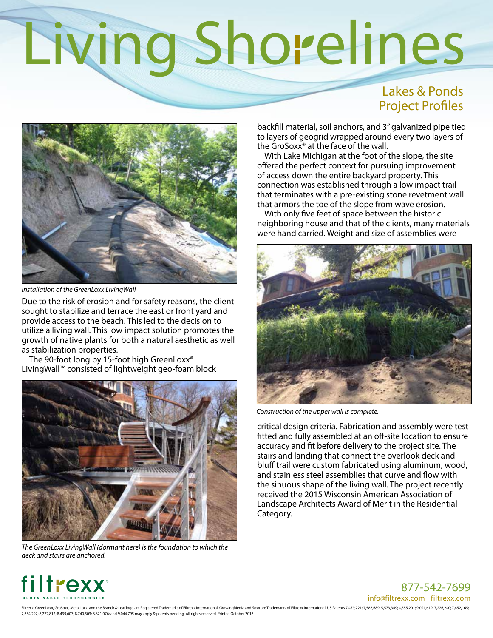## Lakes & Ponds Project Profiles



*Installation of the GreenLoxx LivingWall*

Due to the risk of erosion and for safety reasons, the client sought to stabilize and terrace the east or front yard and provide access to the beach. This led to the decision to utilize a living wall. This low impact solution promotes the growth of native plants for both a natural aesthetic as well as stabilization properties.

The 90-foot long by 15-foot high GreenLoxx® LivingWall™ consisted of lightweight geo-foam block



*The GreenLoxx LivingWall (dormant here) is the foundation to which the deck and stairs are anchored.*

backfill material, soil anchors, and 3" galvanized pipe tied to layers of geogrid wrapped around every two layers of the GroSoxx® at the face of the wall.

With Lake Michigan at the foot of the slope, the site offered the perfect context for pursuing improvement of access down the entire backyard property. This connection was established through a low impact trail that terminates with a pre-existing stone revetment wall that armors the toe of the slope from wave erosion.

With only five feet of space between the historic neighboring house and that of the clients, many materials were hand carried. Weight and size of assemblies were



*Construction of the upper wall is complete.*

critical design criteria. Fabrication and assembly were test fitted and fully assembled at an off-site location to ensure accuracy and fit before delivery to the project site. The stairs and landing that connect the overlook deck and bluff trail were custom fabricated using aluminum, wood, and stainless steel assemblies that curve and flow with the sinuous shape of the living wall. The project recently received the 2015 Wisconsin American Association of Landscape Architects Award of Merit in the Residential Category.



877-542-7699 info@filtrexx.com | filtrexx.com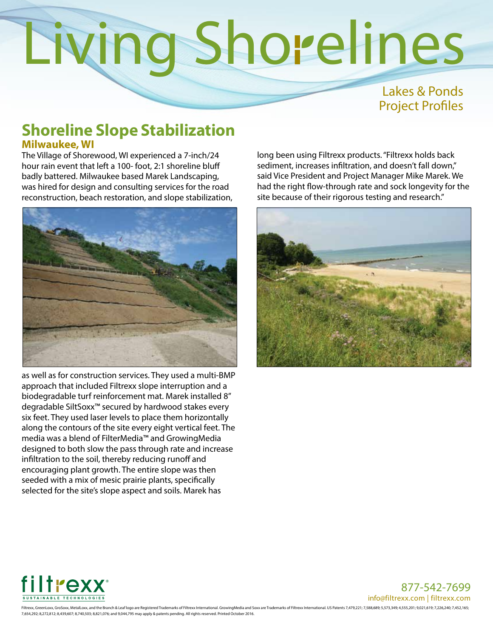## Lakes & Ponds Project Profiles

## **Shoreline Slope Stabilization Milwaukee, WI**

The Village of Shorewood, WI experienced a 7-inch/24 hour rain event that left a 100- foot, 2:1 shoreline bluff badly battered. Milwaukee based Marek Landscaping, was hired for design and consulting services for the road reconstruction, beach restoration, and slope stabilization,



as well as for construction services. They used a multi-BMP approach that included Filtrexx slope interruption and a biodegradable turf reinforcement mat. Marek installed 8" degradable SiltSoxx™ secured by hardwood stakes every six feet. They used laser levels to place them horizontally along the contours of the site every eight vertical feet. The media was a blend of FilterMedia™ and GrowingMedia designed to both slow the pass through rate and increase infiltration to the soil, thereby reducing runoff and encouraging plant growth. The entire slope was then seeded with a mix of mesic prairie plants, specifically selected for the site's slope aspect and soils. Marek has

long been using Filtrexx products. "Filtrexx holds back sediment, increases infiltration, and doesn't fall down," said Vice President and Project Manager Mike Marek. We had the right flow-through rate and sock longevity for the site because of their rigorous testing and research."





877-542-7699 info@filtrexx.com | filtrexx.com